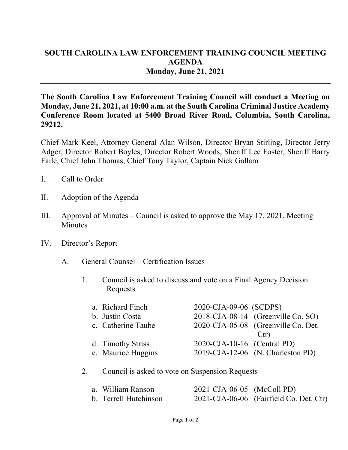## **SOUTH CAROLINA LAW ENFORCEMENT TRAINING COUNCIL MEETING AGENDA Monday, June 21, 2021**

**The South Carolina Law Enforcement Training Council will conduct a Meeting on Monday, June 21, 2021, at 10:00 a.m. at the South Carolina Criminal Justice Academy Conference Room located at 5400 Broad River Road, Columbia, South Carolina, 29212.** 

Chief Mark Keel, Attorney General Alan Wilson, Director Bryan Stirling, Director Jerry Adger, Director Robert Boyles, Director Robert Woods, Sheriff Lee Foster, Sheriff Barry Faile, Chief John Thomas, Chief Tony Taylor, Captain Nick Gallam

- I. Call to Order
- II. Adoption of the Agenda
- III. Approval of Minutes Council is asked to approve the May 17, 2021, Meeting **Minutes**
- IV. Director's Report
	- A. General Counsel Certification Issues
		- 1. Council is asked to discuss and vote on a Final Agency Decision Requests

| a. Richard Finch   | 2020-CJA-09-06 (SCDPS)      |                                     |
|--------------------|-----------------------------|-------------------------------------|
| b. Justin Costa    |                             | 2018-CJA-08-14 (Greenville Co. SO)  |
| c. Catherine Taube |                             | 2020-CJA-05-08 (Greenville Co. Det. |
|                    |                             | Ctr)                                |
| d. Timothy Striss  | 2020-CJA-10-16 (Central PD) |                                     |
| e. Maurice Huggins |                             | 2019-CJA-12-06 (N. Charleston PD)   |

## 2. Council is asked to vote on Suspension Requests

| a. William Ranson     | 2021-CJA-06-05 (McColl PD) |                                         |
|-----------------------|----------------------------|-----------------------------------------|
| b. Terrell Hutchinson |                            | 2021-CJA-06-06 (Fairfield Co. Det. Ctr) |